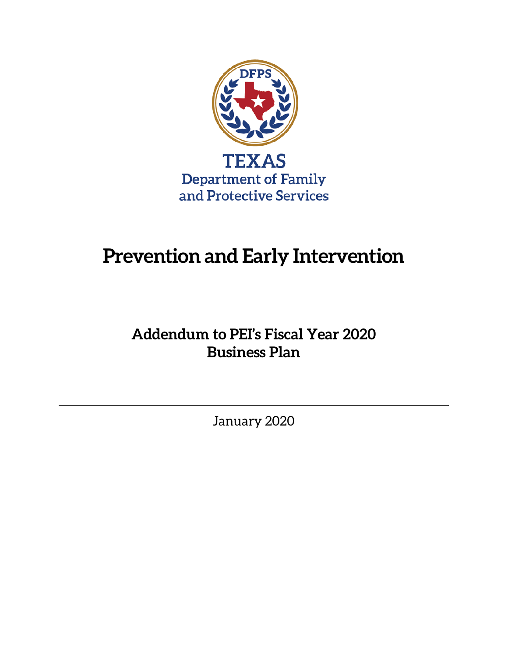

## **Prevention and Early Intervention**

## **Addendum to PEI's Fiscal Year 2020 Business Plan**

January 2020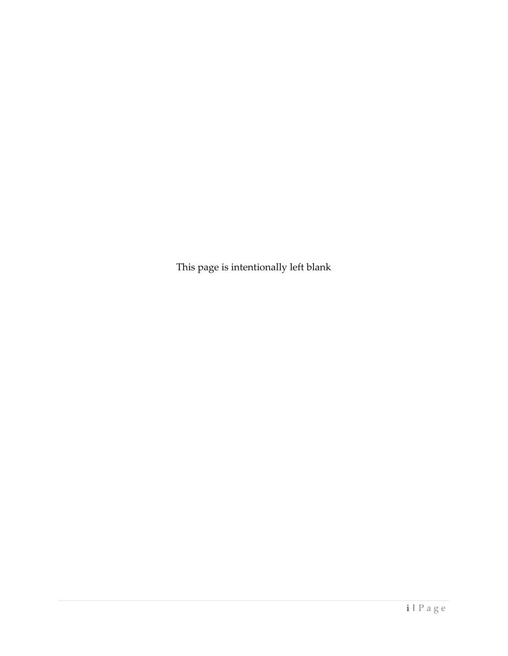This page is intentionally left blank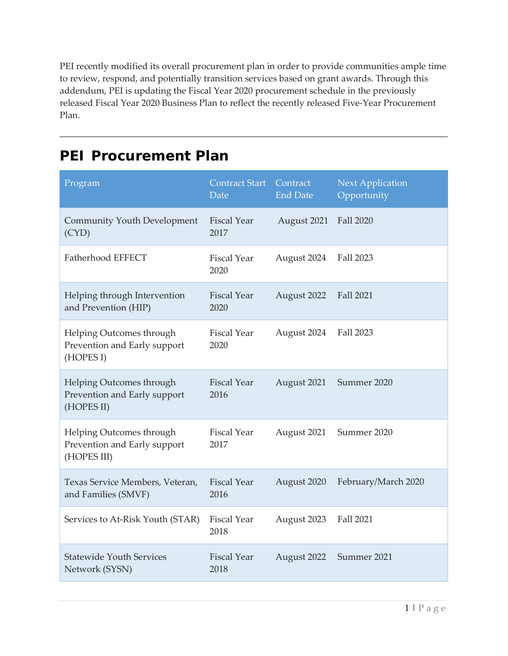PEI recently modified its overall procurement plan in order to provide communities ample time to review, respond, and potentially transition services based on grant awards. Through this addendum, PEI is updating the Fiscal Year 2020 procurement schedule in the previously released Fiscal Year 2020 Business Plan to reflect the recently released Five-Year Procurement Plan.

## **PEI Procurement Plan**

| Program                                                                 | <b>Contract Start</b><br>Date | Contract<br><b>End Date</b> | <b>Next Application</b><br>Opportunity |
|-------------------------------------------------------------------------|-------------------------------|-----------------------------|----------------------------------------|
| <b>Community Youth Development</b><br>(CYD)                             | <b>Fiscal Year</b><br>2017    | August 2021                 | Fall 2020                              |
| Fatherhood EFFECT                                                       | <b>Fiscal Year</b><br>2020    | August 2024                 | Fall 2023                              |
| Helping through Intervention<br>and Prevention (HIP)                    | <b>Fiscal Year</b><br>2020    | August 2022                 | <b>Fall 2021</b>                       |
| Helping Outcomes through<br>Prevention and Early support<br>(HOPES I)   | <b>Fiscal Year</b><br>2020    | August 2024                 | Fall 2023                              |
| Helping Outcomes through<br>Prevention and Early support<br>(HOPES II)  | <b>Fiscal Year</b><br>2016    | August 2021                 | Summer 2020                            |
| Helping Outcomes through<br>Prevention and Early support<br>(HOPES III) | <b>Fiscal Year</b><br>2017    | August 2021                 | Summer 2020                            |
| Texas Service Members, Veteran,<br>and Families (SMVF)                  | <b>Fiscal Year</b><br>2016    | August 2020                 | February/March 2020                    |
| Services to At-Risk Youth (STAR)                                        | <b>Fiscal Year</b><br>2018    | August 2023                 | <b>Fall 2021</b>                       |
| <b>Statewide Youth Services</b><br>Network (SYSN)                       | <b>Fiscal Year</b><br>2018    | August 2022                 | Summer 2021                            |